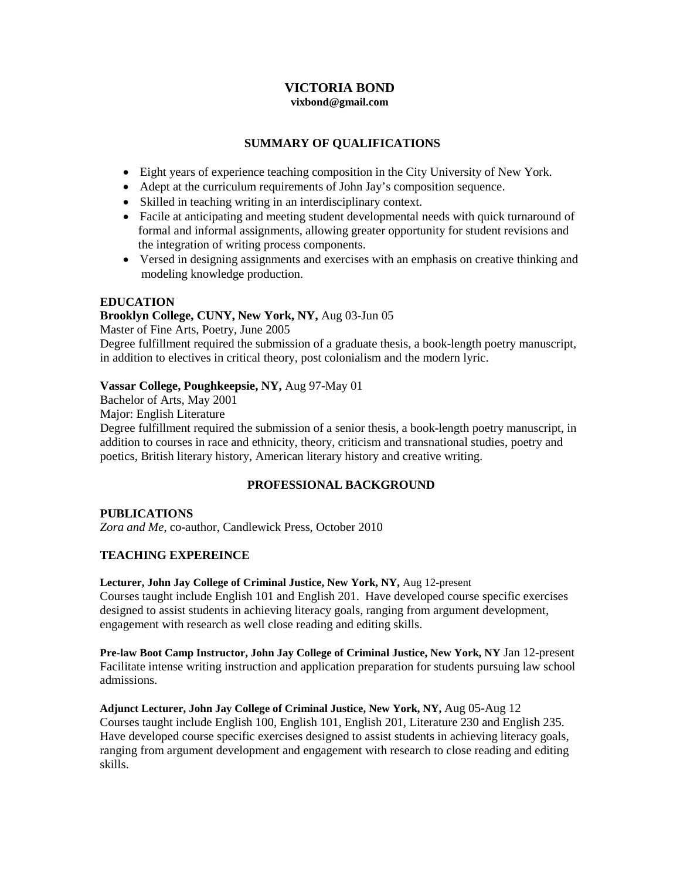### **VICTORIA BOND vixbond@gmail.com**

# **SUMMARY OF QUALIFICATIONS**

- Eight years of experience teaching composition in the City University of New York.
- Adept at the curriculum requirements of John Jay's composition sequence.
- Skilled in teaching writing in an interdisciplinary context.
- Facile at anticipating and meeting student developmental needs with quick turnaround of formal and informal assignments, allowing greater opportunity for student revisions and the integration of writing process components.
- Versed in designing assignments and exercises with an emphasis on creative thinking and modeling knowledge production.

### **EDUCATION**

## **Brooklyn College, CUNY, New York, NY,** Aug 03-Jun 05

Master of Fine Arts, Poetry, June 2005

Degree fulfillment required the submission of a graduate thesis, a book-length poetry manuscript, in addition to electives in critical theory, post colonialism and the modern lyric.

## **Vassar College, Poughkeepsie, NY,** Aug 97-May 01

Bachelor of Arts, May 2001

Major: English Literature

Degree fulfillment required the submission of a senior thesis, a book-length poetry manuscript, in addition to courses in race and ethnicity, theory, criticism and transnational studies, poetry and poetics, British literary history, American literary history and creative writing.

# **PROFESSIONAL BACKGROUND**

### **PUBLICATIONS**

*Zora and Me*, co-author, Candlewick Press, October 2010

# **TEACHING EXPEREINCE**

### **Lecturer, John Jay College of Criminal Justice, New York, NY,** Aug 12-present

Courses taught include English 101 and English 201. Have developed course specific exercises designed to assist students in achieving literacy goals, ranging from argument development, engagement with research as well close reading and editing skills.

**Pre-law Boot Camp Instructor, John Jay College of Criminal Justice, New York, NY** Jan 12-present Facilitate intense writing instruction and application preparation for students pursuing law school admissions.

**Adjunct Lecturer, John Jay College of Criminal Justice, New York, NY,** Aug 05-Aug 12 Courses taught include English 100, English 101, English 201, Literature 230 and English 235. Have developed course specific exercises designed to assist students in achieving literacy goals, ranging from argument development and engagement with research to close reading and editing skills.